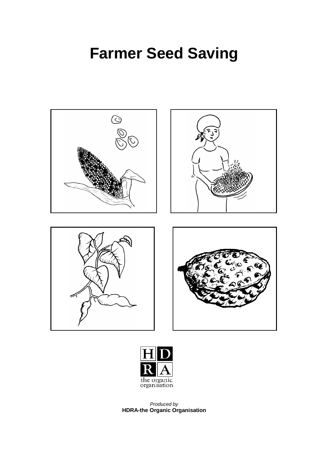# **Farmer Seed Saving**





Produced by **HDRA-the Organic Organisation**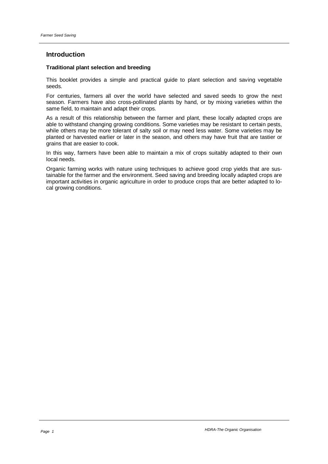# **Introduction**

#### **Traditional plant selection and breeding**

This booklet provides a simple and practical guide to plant selection and saving vegetable seeds.

For centuries, farmers all over the world have selected and saved seeds to grow the next season. Farmers have also cross-pollinated plants by hand, or by mixing varieties within the same field, to maintain and adapt their crops.

As a result of this relationship between the farmer and plant, these locally adapted crops are able to withstand changing growing conditions. Some varieties may be resistant to certain pests, while others may be more tolerant of salty soil or may need less water. Some varieties may be planted or harvested earlier or later in the season, and others may have fruit that are tastier or grains that are easier to cook.

In this way, farmers have been able to maintain a mix of crops suitably adapted to their own local needs.

Organic farming works with nature using techniques to achieve good crop yields that are sustainable for the farmer and the environment. Seed saving and breeding locally adapted crops are important activities in organic agriculture in order to produce crops that are better adapted to local growing conditions.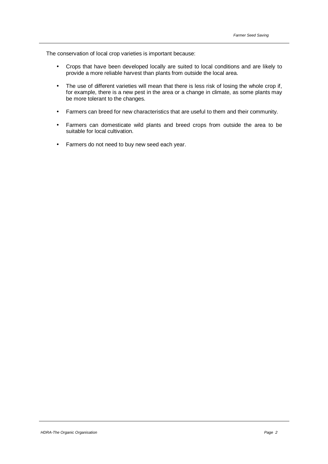The conservation of local crop varieties is important because:

- Crops that have been developed locally are suited to local conditions and are likely to provide a more reliable harvest than plants from outside the local area.
- The use of different varieties will mean that there is less risk of losing the whole crop if, for example, there is a new pest in the area or a change in climate, as some plants may be more tolerant to the changes.
- Farmers can breed for new characteristics that are useful to them and their community.
- Farmers can domesticate wild plants and breed crops from outside the area to be suitable for local cultivation.
- Farmers do not need to buy new seed each year.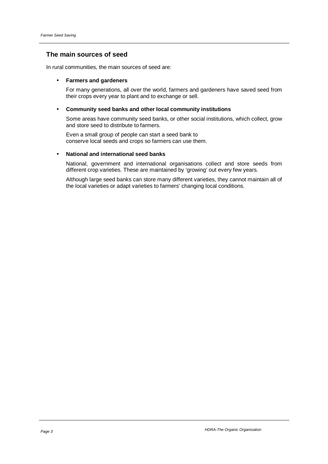# **The main sources of seed**

In rural communities, the main sources of seed are:

## • **Farmers and gardeners**

 For many generations, all over the world, farmers and gardeners have saved seed from their crops every year to plant and to exchange or sell.

## • **Community seed banks and other local community institutions**

 Some areas have community seed banks, or other social institutions, which collect, grow and store seed to distribute to farmers.

 Even a small group of people can start a seed bank to conserve local seeds and crops so farmers can use them.

# • **National and international seed banks**

 National, government and international organisations collect and store seeds from different crop varieties. These are maintained by 'growing' out every few years.

 Although large seed banks can store many different varieties, they cannot maintain all of the local varieties or adapt varieties to farmers' changing local conditions.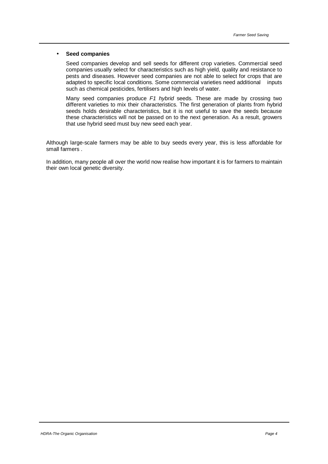#### • **Seed companies**

 Seed companies develop and sell seeds for different crop varieties. Commercial seed companies usually select for characteristics such as high yield, quality and resistance to pests and diseases. However seed companies are not able to select for crops that are adapted to specific local conditions. Some commercial varieties need additional inputs such as chemical pesticides, fertilisers and high levels of water.

Many seed companies produce F1 hybrid seeds. These are made by crossing two different varieties to mix their characteristics. The first generation of plants from hybrid seeds holds desirable characteristics, but it is not useful to save the seeds because these characteristics will not be passed on to the next generation. As a result, growers that use hybrid seed must buy new seed each year.

Although large-scale farmers may be able to buy seeds every year, this is less affordable for small farmers .

In addition, many people all over the world now realise how important it is for farmers to maintain their own local genetic diversity.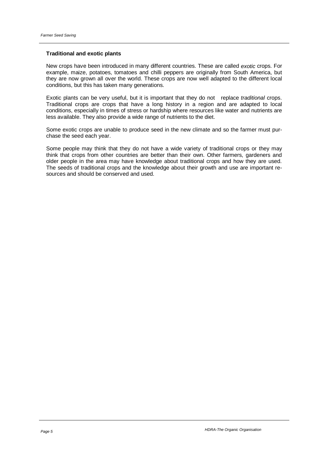## **Traditional and exotic plants**

New crops have been introduced in many different countries. These are called exotic crops. For example, maize, potatoes, tomatoes and chilli peppers are originally from South America, but they are now grown all over the world. These crops are now well adapted to the different local conditions, but this has taken many generations.

Exotic plants can be very useful, but it is important that they do not replace traditional crops. Traditional crops are crops that have a long history in a region and are adapted to local conditions, especially in times of stress or hardship where resources like water and nutrients are less available. They also provide a wide range of nutrients to the diet.

Some exotic crops are unable to produce seed in the new climate and so the farmer must purchase the seed each year.

Some people may think that they do not have a wide variety of traditional crops or they may think that crops from other countries are better than their own. Other farmers, gardeners and older people in the area may have knowledge about traditional crops and how they are used. The seeds of traditional crops and the knowledge about their growth and use are important resources and should be conserved and used.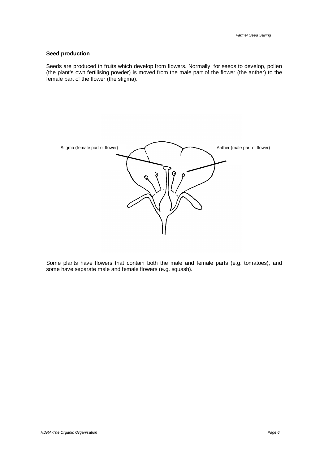## **Seed production**

Seeds are produced in fruits which develop from flowers. Normally, for seeds to develop, pollen (the plant's own fertilising powder) is moved from the male part of the flower (the anther) to the female part of the flower (the stigma).



Some plants have flowers that contain both the male and female parts (e.g. tomatoes), and some have separate male and female flowers (e.g. squash).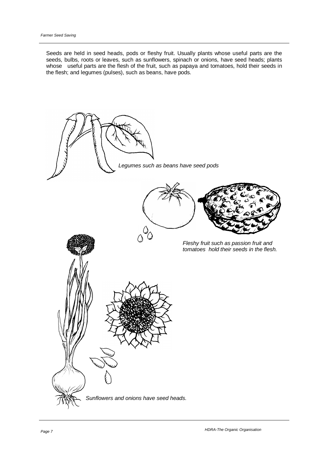Seeds are held in seed heads, pods or fleshy fruit. Usually plants whose useful parts are the seeds, bulbs, roots or leaves, such as sunflowers, spinach or onions, have seed heads; plants whose useful parts are the flesh of the fruit, such as papaya and tomatoes, hold their seeds in the flesh; and legumes (pulses), such as beans, have pods.

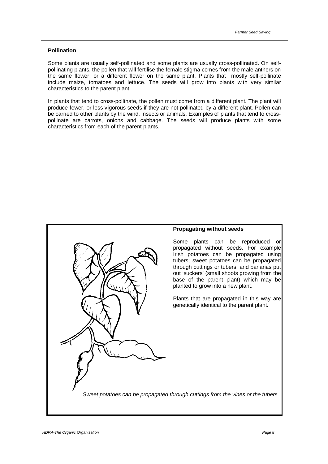#### **Pollination**

Some plants are usually self-pollinated and some plants are usually cross-pollinated. On selfpollinating plants, the pollen that will fertilise the female stigma comes from the male anthers on the same flower, or a different flower on the same plant. Plants that mostly self-pollinate include maize, tomatoes and lettuce. The seeds will grow into plants with very similar characteristics to the parent plant.

In plants that tend to cross-pollinate, the pollen must come from a different plant. The plant will produce fewer, or less vigorous seeds if they are not pollinated by a different plant. Pollen can be carried to other plants by the wind, insects or animals. Examples of plants that tend to crosspollinate are carrots, onions and cabbage. The seeds will produce plants with some characteristics from each of the parent plants.

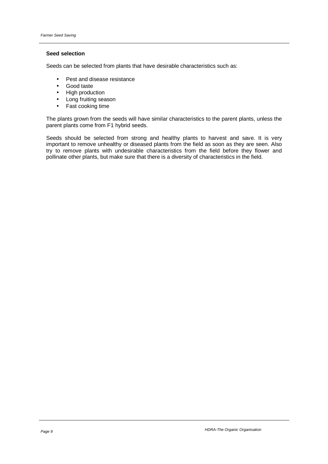## **Seed selection**

Seeds can be selected from plants that have desirable characteristics such as:

- Pest and disease resistance
- Good taste
- High production
- Long fruiting season
- Fast cooking time

The plants grown from the seeds will have similar characteristics to the parent plants, unless the parent plants come from F1 hybrid seeds.

Seeds should be selected from strong and healthy plants to harvest and save. It is very important to remove unhealthy or diseased plants from the field as soon as they are seen. Also try to remove plants with undesirable characteristics from the field before they flower and pollinate other plants, but make sure that there is a diversity of characteristics in the field.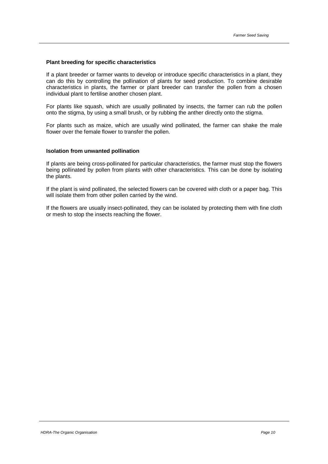#### **Plant breeding for specific characteristics**

If a plant breeder or farmer wants to develop or introduce specific characteristics in a plant, they can do this by controlling the pollination of plants for seed production. To combine desirable characteristics in plants, the farmer or plant breeder can transfer the pollen from a chosen individual plant to fertilise another chosen plant.

For plants like squash, which are usually pollinated by insects, the farmer can rub the pollen onto the stigma, by using a small brush, or by rubbing the anther directly onto the stigma.

For plants such as maize, which are usually wind pollinated, the farmer can shake the male flower over the female flower to transfer the pollen.

#### **Isolation from unwanted pollination**

If plants are being cross-pollinated for particular characteristics, the farmer must stop the flowers being pollinated by pollen from plants with other characteristics. This can be done by isolating the plants.

If the plant is wind pollinated, the selected flowers can be covered with cloth or a paper bag. This will isolate them from other pollen carried by the wind.

If the flowers are usually insect-pollinated, they can be isolated by protecting them with fine cloth or mesh to stop the insects reaching the flower.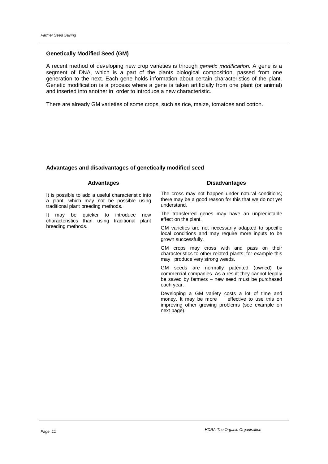#### **Genetically Modified Seed (GM)**

A recent method of developing new crop varieties is through genetic modification. A gene is a segment of DNA, which is a part of the plants biological composition, passed from one generation to the next. Each gene holds information about certain characteristics of the plant. Genetic modification is a process where a gene is taken artificially from one plant (or animal) and inserted into another in order to introduce a new characteristic.

There are already GM varieties of some crops, such as rice, maize, tomatoes and cotton.

## **Advantages and disadvantages of genetically modified seed**

## **Advantages**

It is possible to add a useful characteristic into a plant, which may not be possible using traditional plant breeding methods.

It may be quicker to introduce new characteristics than using traditional plant breeding methods.

The cross may not happen under natural conditions; there may be a good reason for this that we do not yet understand.

**Disadvantages**

The transferred genes may have an unpredictable effect on the plant.

GM varieties are not necessarily adapted to specific local conditions and may require more inputs to be grown successfully.

GM crops may cross with and pass on their characteristics to other related plants; for example this may produce very strong weeds.

GM seeds are normally patented (owned) by commercial companies. As a result they cannot legally be saved by farmers – new seed must be purchased each year.

Developing a GM variety costs a lot of time and<br>money. It may be more effective to use this on money. It may be more improving other growing problems (see example on next page).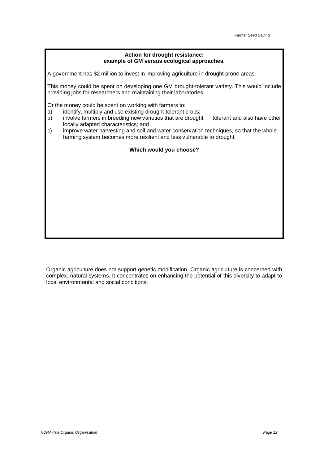## **Action for drought resistance: example of GM versus ecological approaches.**

A government has \$2 million to invest in improving agriculture in drought prone areas.

This money could be spent on developing one GM drought-tolerant variety. This would include providing jobs for researchers and maintaining their laboratories.

Or the money could be spent on working with farmers to:

- a) identify, multiply and use existing drought-tolerant crops;
- b) involve farmers in breeding new varieties that are drought tolerant and also have other locally adapted characteristics; and
- c) improve water harvesting and soil and water conservation techniques, so that the whole farming system becomes more resilient and less vulnerable to drought.

## **Which would you choose?**

Organic agriculture does not support genetic modification. Organic agriculture is concerned with complex, natural systems. It concentrates on enhancing the potential of this diversity to adapt to local environmental and social conditions.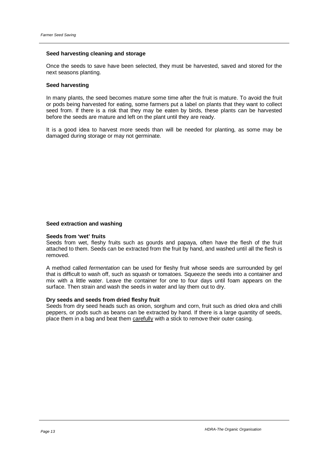### **Seed harvesting cleaning and storage**

Once the seeds to save have been selected, they must be harvested, saved and stored for the next seasons planting.

#### **Seed harvesting**

In many plants, the seed becomes mature some time after the fruit is mature. To avoid the fruit or pods being harvested for eating, some farmers put a label on plants that they want to collect seed from. If there is a risk that they may be eaten by birds, these plants can be harvested before the seeds are mature and left on the plant until they are ready.

It is a good idea to harvest more seeds than will be needed for planting, as some may be damaged during storage or may not germinate.

#### **Seed extraction and washing**

#### **Seeds from 'wet' fruits**

Seeds from wet, fleshy fruits such as gourds and papaya, often have the flesh of the fruit attached to them. Seeds can be extracted from the fruit by hand, and washed until all the flesh is removed.

A method called fermentation can be used for fleshy fruit whose seeds are surrounded by gel that is difficult to wash off, such as squash or tomatoes. Squeeze the seeds into a container and mix with a little water. Leave the container for one to four days until foam appears on the surface. Then strain and wash the seeds in water and lay them out to dry.

#### **Dry seeds and seeds from dried fleshy fruit**

Seeds from dry seed heads such as onion, sorghum and corn, fruit such as dried okra and chilli peppers, or pods such as beans can be extracted by hand. If there is a large quantity of seeds, place them in a bag and beat them carefully with a stick to remove their outer casing.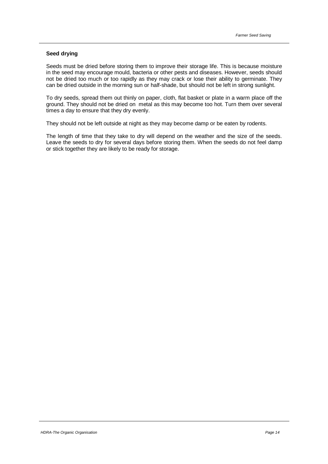#### **Seed drying**

Seeds must be dried before storing them to improve their storage life. This is because moisture in the seed may encourage mould, bacteria or other pests and diseases. However, seeds should not be dried too much or too rapidly as they may crack or lose their ability to germinate. They can be dried outside in the morning sun or half-shade, but should not be left in strong sunlight.

To dry seeds, spread them out thinly on paper, cloth, flat basket or plate in a warm place off the ground. They should not be dried on metal as this may become too hot. Turn them over several times a day to ensure that they dry evenly.

They should not be left outside at night as they may become damp or be eaten by rodents.

The length of time that they take to dry will depend on the weather and the size of the seeds. Leave the seeds to dry for several days before storing them. When the seeds do not feel damp or stick together they are likely to be ready for storage.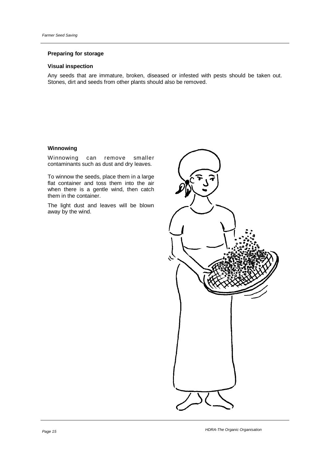## **Preparing for storage**

## **Visual inspection**

Any seeds that are immature, broken, diseased or infested with pests should be taken out. Stones, dirt and seeds from other plants should also be removed.

## **Winnowing**

Winnowing can remove smaller contaminants such as dust and dry leaves.

To winnow the seeds, place them in a large flat container and toss them into the air when there is a gentle wind, then catch them in the container.

The light dust and leaves will be blown away by the wind.

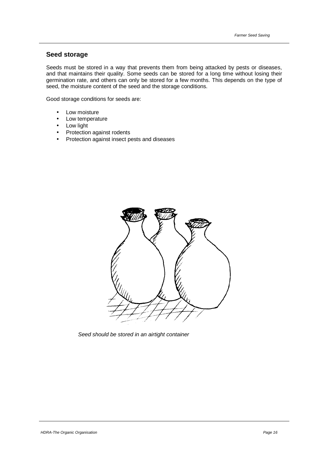# **Seed storage**

Seeds must be stored in a way that prevents them from being attacked by pests or diseases, and that maintains their quality. Some seeds can be stored for a long time without losing their germination rate, and others can only be stored for a few months. This depends on the type of seed, the moisture content of the seed and the storage conditions.

Good storage conditions for seeds are:

- Low moisture
- Low temperature
- **Low light**
- Protection against rodents
- Protection against insect pests and diseases



Seed should be stored in an airtight container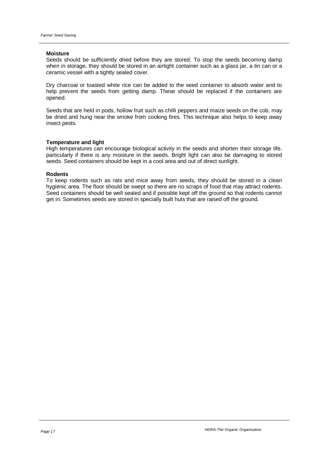#### **Moisture**

Seeds should be sufficiently dried before they are stored. To stop the seeds becoming damp when in storage, they should be stored in an airtight container such as a glass jar, a tin can or a ceramic vessel with a tightly sealed cover.

Dry charcoal or toasted white rice can be added to the seed container to absorb water and to help prevent the seeds from getting damp. These should be replaced if the containers are opened.

Seeds that are held in pods, hollow fruit such as chilli peppers and maize seeds on the cob, may be dried and hung near the smoke from cooking fires. This technique also helps to keep away insect pests.

#### **Temperature and light**

High temperatures can encourage biological activity in the seeds and shorten their storage life, particularly if there is any moisture in the seeds. Bright light can also be damaging to stored seeds. Seed containers should be kept in a cool area and out of direct sunlight.

#### **Rodents**

To keep rodents such as rats and mice away from seeds, they should be stored in a clean hygienic area. The floor should be swept so there are no scraps of food that may attract rodents. Seed containers should be well sealed and if possible kept off the ground so that rodents cannot get in. Sometimes seeds are stored in specially built huts that are raised off the ground.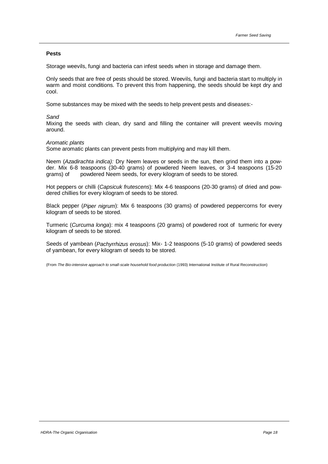#### **Pests**

Storage weevils, fungi and bacteria can infest seeds when in storage and damage them.

Only seeds that are free of pests should be stored. Weevils, fungi and bacteria start to multiply in warm and moist conditions. To prevent this from happening, the seeds should be kept dry and cool.

Some substances may be mixed with the seeds to help prevent pests and diseases:-

#### **Sand**

Mixing the seeds with clean, dry sand and filling the container will prevent weevils moving around.

#### Aromatic plants

Some aromatic plants can prevent pests from multiplying and may kill them.

Neem (Azadirachta indica): Dry Neem leaves or seeds in the sun, then grind them into a powder. Mix 6-8 teaspoons (30-40 grams) of powdered Neem leaves, or 3-4 teaspoons (15-20 grams) of powdered Neem seeds, for every kilogram of seeds to be stored.

Hot peppers or chilli (Capsicuk frutescens): Mix 4-6 teaspoons (20-30 grams) of dried and powdered chillies for every kilogram of seeds to be stored.

Black pepper (Piper nigrum): Mix 6 teaspoons (30 grams) of powdered peppercorns for every kilogram of seeds to be stored.

Turmeric (Curcuma longa): mix 4 teaspoons (20 grams) of powdered root of turmeric for every kilogram of seeds to be stored.

Seeds of yambean (Pachyrrhizus erosus): Mix- 1-2 teaspoons (5-10 grams) of powdered seeds of yambean, for every kilogram of seeds to be stored.

(From The Bio-intensive approach to small-scale household food production (1993) International Institute of Rural Reconstruction)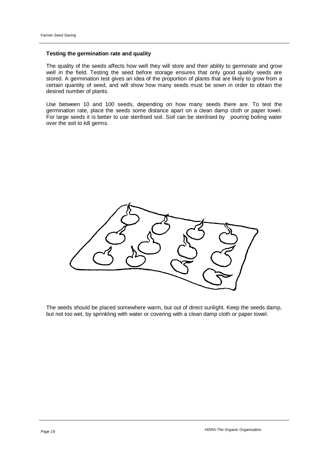## **Testing the germination rate and quality**

The quality of the seeds affects how well they will store and their ability to germinate and grow well in the field. Testing the seed before storage ensures that only good quality seeds are stored. A germination test gives an idea of the proportion of plants that are likely to grow from a certain quantity of seed, and will show how many seeds must be sown in order to obtain the desired number of plants.

Use between 10 and 100 seeds, depending on how many seeds there are. To test the germination rate, place the seeds some distance apart on a clean damp cloth or paper towel. For large seeds it is better to use sterilised soil. Soil can be sterilised by pouring boiling water over the soil to kill germs.



The seeds should be placed somewhere warm, but out of direct sunlight. Keep the seeds damp, but not too wet, by sprinkling with water or covering with a clean damp cloth or paper towel.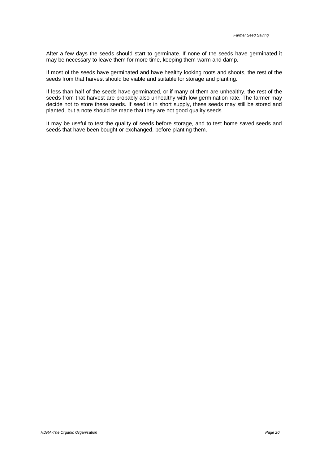After a few days the seeds should start to germinate. If none of the seeds have germinated it may be necessary to leave them for more time, keeping them warm and damp.

If most of the seeds have germinated and have healthy looking roots and shoots, the rest of the seeds from that harvest should be viable and suitable for storage and planting.

If less than half of the seeds have germinated, or if many of them are unhealthy, the rest of the seeds from that harvest are probably also unhealthy with low germination rate. The farmer may decide not to store these seeds. If seed is in short supply, these seeds may still be stored and planted, but a note should be made that they are not good quality seeds.

It may be useful to test the quality of seeds before storage, and to test home saved seeds and seeds that have been bought or exchanged, before planting them.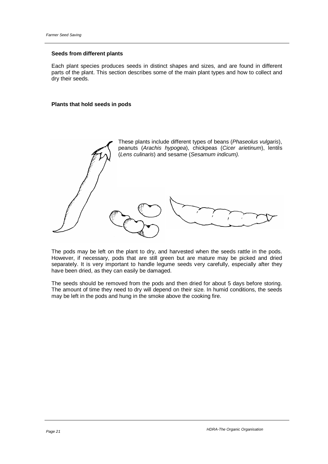## **Seeds from different plants**

Each plant species produces seeds in distinct shapes and sizes, and are found in different parts of the plant. This section describes some of the main plant types and how to collect and dry their seeds.

#### **Plants that hold seeds in pods**



The pods may be left on the plant to dry, and harvested when the seeds rattle in the pods. However, if necessary, pods that are still green but are mature may be picked and dried separately. It is very important to handle legume seeds very carefully, especially after they have been dried, as they can easily be damaged.

The seeds should be removed from the pods and then dried for about 5 days before storing. The amount of time they need to dry will depend on their size. In humid conditions, the seeds may be left in the pods and hung in the smoke above the cooking fire.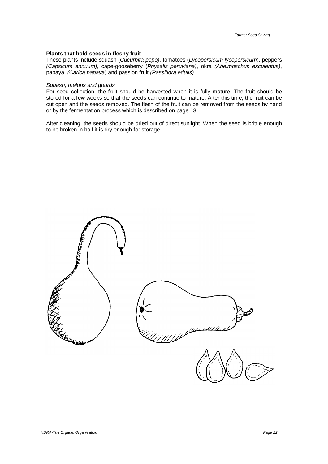## **Plants that hold seeds in fleshy fruit**

These plants include squash (Cucurbita pepo), tomatoes (Lycopersicum lycopersicum), peppers (Capsicum annuum), cape-gooseberry (Physalis peruviana), okra (Abelmoschus esculentus), papaya (Carica papaya) and passion fruit (Passiflora edulis).

#### Squash, melons and gourds

For seed collection, the fruit should be harvested when it is fully mature. The fruit should be stored for a few weeks so that the seeds can continue to mature. After this time, the fruit can be cut open and the seeds removed. The flesh of the fruit can be removed from the seeds by hand or by the fermentation process which is described on page 13.

After cleaning, the seeds should be dried out of direct sunlight. When the seed is brittle enough to be broken in half it is dry enough for storage.

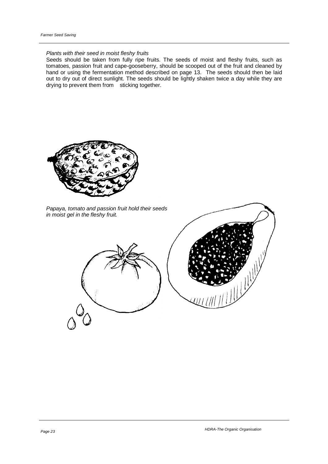## Plants with their seed in moist fleshy fruits

Seeds should be taken from fully ripe fruits. The seeds of moist and fleshy fruits, such as tomatoes, passion fruit and cape-gooseberry, should be scooped out of the fruit and cleaned by hand or using the fermentation method described on page 13. The seeds should then be laid out to dry out of direct sunlight. The seeds should be lightly shaken twice a day while they are drying to prevent them from sticking together.



Papaya, tomato and passion fruit hold their seeds in moist gel in the fleshy fruit.



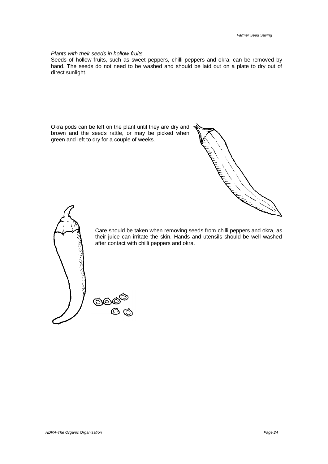Plants with their seeds in hollow fruits

Seeds of hollow fruits, such as sweet peppers, chilli peppers and okra, can be removed by hand. The seeds do not need to be washed and should be laid out on a plate to dry out of direct sunlight.

Okra pods can be left on the plant until they are dry and brown and the seeds rattle, or may be picked when green and left to dry for a couple of weeks.





Care should be taken when removing seeds from chilli peppers and okra, as their juice can irritate the skin. Hands and utensils should be well washed after contact with chilli peppers and okra.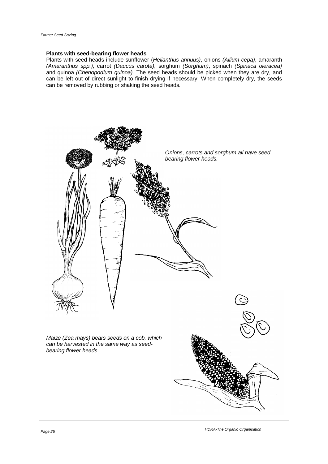## **Plants with seed-bearing flower heads**

Plants with seed heads include sunflower (Helianthus annuus), onions (Allium cepa), amaranth (Amaranthus spp.), carrot (Daucus carota), sorghum (Sorghum), spinach (Spinaca oleracea) and quinoa (Chenopodium quinoa). The seed heads should be picked when they are dry, and can be left out of direct sunlight to finish drying if necessary. When completely dry, the seeds can be removed by rubbing or shaking the seed heads.

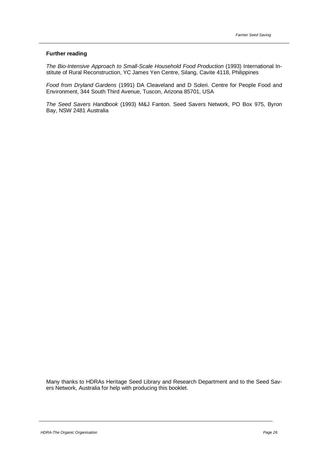#### **Further reading**

The Bio-Intensive Approach to Small-Scale Household Food Production (1993) International Institute of Rural Reconstruction, YC James Yen Centre, Silang, Cavite 4118, Philippines

Food from Dryland Gardens (1991) DA Cleaveland and D Soleri. Centre for People Food and Environment, 344 South Third Avenue, Tuscon, Arizona 85701, USA

The Seed Savers Handbook (1993) M&J Fanton. Seed Savers Network, PO Box 975, Byron Bay, NSW 2481 Australia

Many thanks to HDRAs Heritage Seed Library and Research Department and to the Seed Savers Network, Australia for help with producing this booklet.